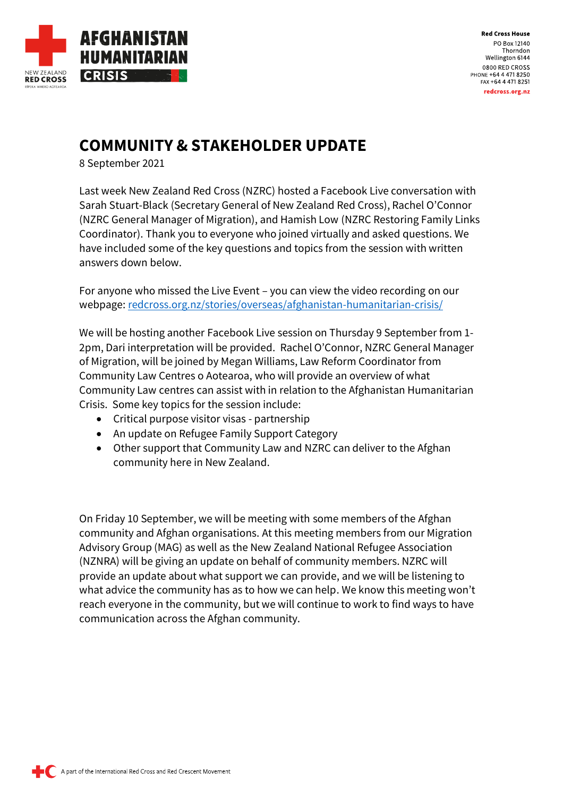

# **COMMUNITY & STAKEHOLDER UPDATE**

8 September 2021

Last week New Zealand Red Cross (NZRC) hosted a Facebook Live conversation with Sarah Stuart-Black (Secretary General of New Zealand Red Cross), Rachel O'Connor (NZRC General Manager of Migration), and Hamish Low (NZRC Restoring Family Links Coordinator). Thank you to everyone who joined virtually and asked questions. We have included some of the key questions and topics from the session with written answers down below.

For anyone who missed the Live Event – you can view the video recording on our webpage: [redcross.org.nz/stories/overseas/afghanistan-humanitarian-crisis/](https://www.redcross.org.nz/stories/overseas/afghanistan-humanitarian-crisis/)

We will be hosting another Facebook Live session on Thursday 9 September from 1- 2pm, Dari interpretation will be provided. Rachel O'Connor, NZRC General Manager of Migration, will be joined by Megan Williams, Law Reform Coordinator from Community Law Centres o Aotearoa, who will provide an overview of what Community Law centres can assist with in relation to the Afghanistan Humanitarian Crisis. Some key topics for the session include:

- Critical purpose visitor visas partnership
- An update on Refugee Family Support Category
- Other support that Community Law and NZRC can deliver to the Afghan community here in New Zealand.

On Friday 10 September, we will be meeting with some members of the Afghan community and Afghan organisations. At this meeting members from our Migration Advisory Group (MAG) as well as the New Zealand National Refugee Association (NZNRA) will be giving an update on behalf of community members. NZRC will provide an update about what support we can provide, and we will be listening to what advice the community has as to how we can help. We know this meeting won't reach everyone in the community, but we will continue to work to find ways to have communication across the Afghan community.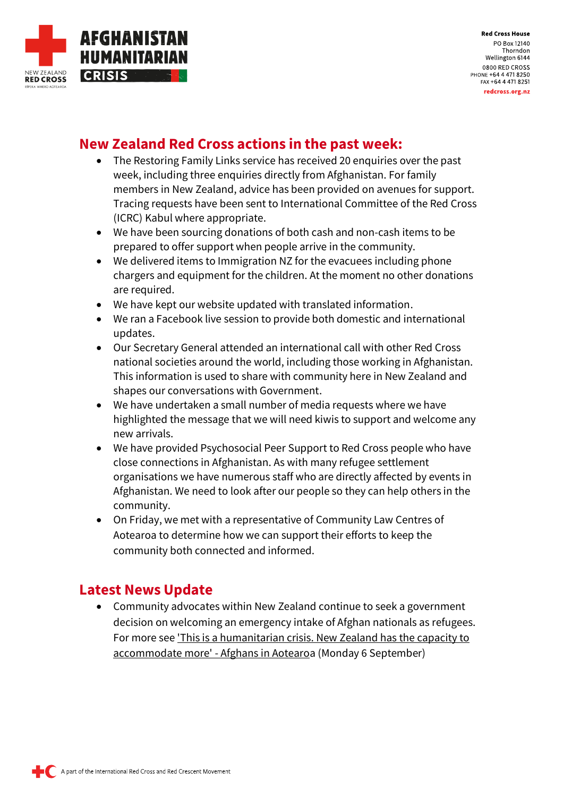

### **New Zealand Red Cross actions in the past week:**

- The Restoring Family Links service has received 20 enquiries over the past week, including three enquiries directly from Afghanistan. For family members in New Zealand, advice has been provided on avenues for support. Tracing requests have been sent to International Committee of the Red Cross (ICRC) Kabul where appropriate.
- We have been sourcing donations of both cash and non-cash items to be prepared to offer support when people arrive in the community.
- We delivered items to Immigration NZ for the evacuees including phone chargers and equipment for the children. At the moment no other donations are required.
- We have kept our website updated with translated information.
- We ran a Facebook live session to provide both domestic and international updates.
- Our Secretary General attended an international call with other Red Cross national societies around the world, including those working in Afghanistan. This information is used to share with community here in New Zealand and shapes our conversations with Government.
- We have undertaken a small number of media requests where we have highlighted the message that we will need kiwis to support and welcome any new arrivals.
- We have provided Psychosocial Peer Support to Red Cross people who have close connections in Afghanistan. As with many refugee settlement organisations we have numerous staff who are directly affected by events in Afghanistan. We need to look after our people so they can help others in the community.
- On Friday, we met with a representative of Community Law Centres of Aotearoa to determine how we can support their efforts to keep the community both connected and informed.

### **Latest News Update**

• Community advocates within New Zealand continue to seek a government decision on welcoming an emergency intake of Afghan nationals as refugees. For more see ['This is a humanitarian crisis. New Zealand has the capacity to](https://www.rnz.co.nz/national/programmes/voices/audio/2018810925/this-is-a-humanitarian-crisis-new-zealand-has-the-capacity-to-accommodate-more-afghans-in-aotearoa)  [accommodate more' -](https://www.rnz.co.nz/national/programmes/voices/audio/2018810925/this-is-a-humanitarian-crisis-new-zealand-has-the-capacity-to-accommodate-more-afghans-in-aotearoa) Afghans in Aotearoa (Monday 6 September)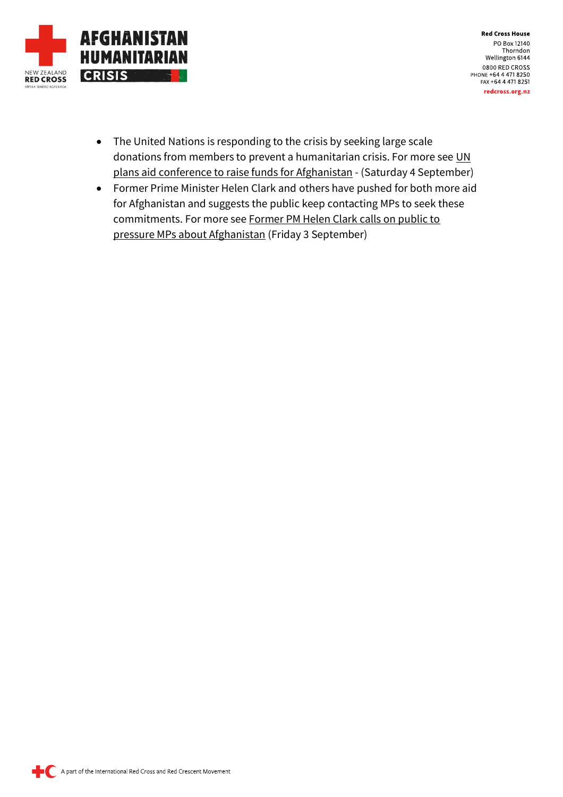

- The United Nations is responding to the crisis by seeking large scale donations from members to prevent a humanitarian crisis. For more see UN [plans aid conference to raise funds for](https://www.rnz.co.nz/news/world/450774/un-plans-aid-conference-to-raise-funds-for-afghanistan) Afghanistan - (Saturday 4 September)
- Former Prime Minister Helen Clark and others have pushed for both more aid for Afghanistan and suggests the public keep contacting MPs to seek these commitments. For more see [Former PM Helen Clark calls on public to](https://www.rnz.co.nz/national/programmes/morningreport/audio/2018810878/former-pm-helen-clark-calls-on-public-to-pressure-mps-about-afghanistan)  [pressure MPs about Afghanistan](https://www.rnz.co.nz/national/programmes/morningreport/audio/2018810878/former-pm-helen-clark-calls-on-public-to-pressure-mps-about-afghanistan) (Friday 3 September)

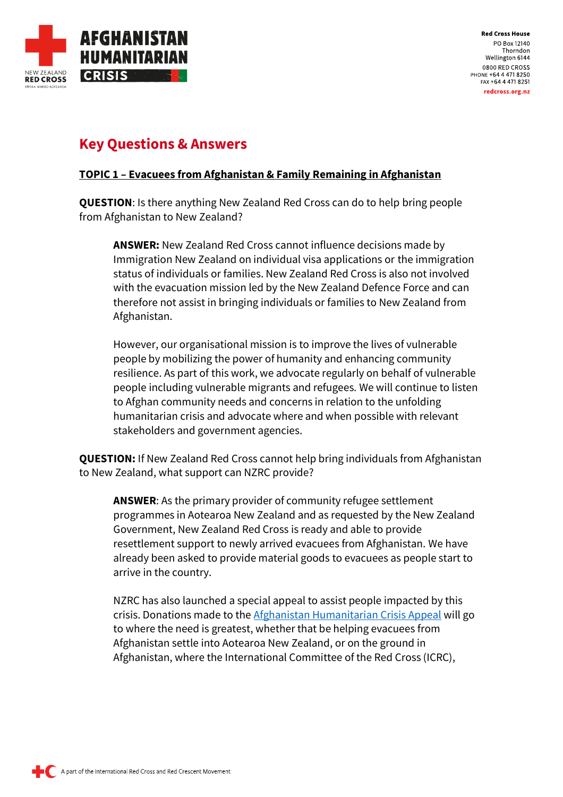

#### **Key Questions & Answers**

#### **TOPIC 1 – Evacuees from Afghanistan & Family Remaining in Afghanistan**

**QUESTION**: Is there anything New Zealand Red Cross can do to help bring people from Afghanistan to New Zealand?

**ANSWER:** New Zealand Red Cross cannot influence decisions made by Immigration New Zealand on individual visa applications or the immigration status of individuals or families. New Zealand Red Cross is also not involved with the evacuation mission led by the New Zealand Defence Force and can therefore not assist in bringing individuals or families to New Zealand from Afghanistan.

However, our organisational mission is to improve the lives of vulnerable people by mobilizing the power of humanity and enhancing community resilience. As part of this work, we advocate regularly on behalf of vulnerable people including vulnerable migrants and refugees. We will continue to listen to Afghan community needs and concerns in relation to the unfolding humanitarian crisis and advocate where and when possible with relevant stakeholders and government agencies.

**QUESTION:** If New Zealand Red Cross cannot help bring individuals from Afghanistan to New Zealand, what support can NZRC provide?

**ANSWER**: As the primary provider of community refugee settlement programmes in Aotearoa New Zealand and as requested by the New Zealand Government, New Zealand Red Cross is ready and able to provide resettlement support to newly arrived evacuees from Afghanistan. We have already been asked to provide material goods to evacuees as people start to arrive in the country.

NZRC has also launched a special appeal to assist people impacted by this crisis. Donations made to th[e Afghanistan Humanitarian Crisis Appeal](https://www.redcross.org.nz/donate/afghanistan-humanitarian-crisis/) will go to where the need is greatest, whether that be helping evacuees from Afghanistan settle into Aotearoa New Zealand, or on the ground in Afghanistan, where the International Committee of the Red Cross (ICRC),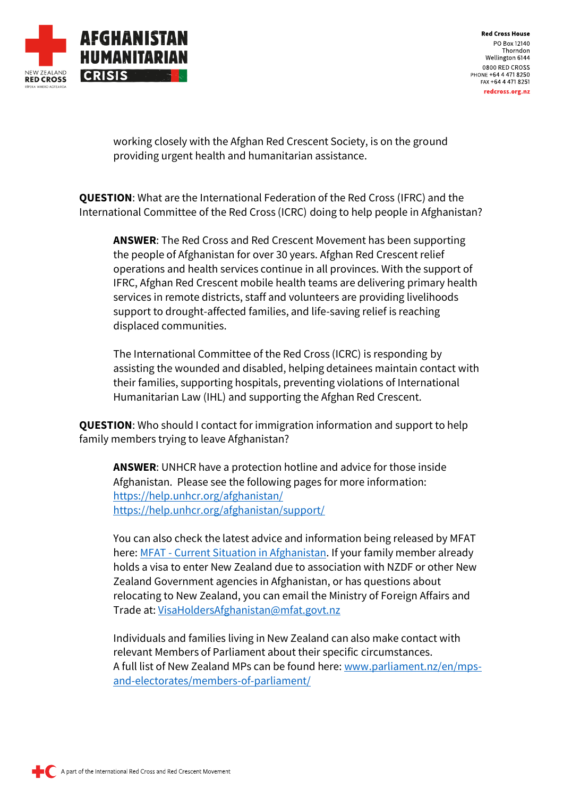

working closely with the Afghan Red Crescent Society, is on the ground providing urgent health and humanitarian assistance.

**QUESTION**: What are the International Federation of the Red Cross (IFRC) and the International Committee of the Red Cross (ICRC) doing to help people in Afghanistan?

**ANSWER**: The Red Cross and Red Crescent Movement has been supporting the people of Afghanistan for over 30 years. Afghan Red Crescent relief operations and health services continue in all provinces. With the support of IFRC, Afghan Red Crescent mobile health teams are delivering primary health services in remote districts, staff and volunteers are providing livelihoods support to drought-affected families, and life-saving relief is reaching displaced communities.

The International Committee of the Red Cross (ICRC) is responding by assisting the wounded and disabled, helping detainees maintain contact with their families, supporting hospitals, preventing violations of International Humanitarian Law (IHL) and supporting the Afghan Red Crescent.

**QUESTION**: Who should I contact for immigration information and support to help family members trying to leave Afghanistan?

**ANSWER**: UNHCR have a protection hotline and advice for those inside Afghanistan. Please see the following pages for more information: <https://help.unhcr.org/afghanistan/> <https://help.unhcr.org/afghanistan/support/>

You can also check the latest advice and information being released by MFAT here: MFAT - [Current Situation in Afghanistan.](https://www.mfat.govt.nz/countries-and-regions/middle-east/iran/new-zealand-embassy-to-islamic-republic-of-iran/eligibility-for-afghan-nationals-to-be-considered-for-resettlement-in-new-zealand) If your family member already holds a visa to enter New Zealand due to association with NZDF or other New Zealand Government agencies in Afghanistan, or has questions about relocating to New Zealand, you can email the Ministry of Foreign Affairs and Trade at: [VisaHoldersAfghanistan@mfat.govt.nz](mailto:VisaHoldersAfghanistan@mfat.govt.nz) 

Individuals and families living in New Zealand can also make contact with relevant Members of Parliament about their specific circumstances. A full list of New Zealand MPs can be found here[: www.parliament.nz/en/mps](https://www.parliament.nz/en/mps-and-electorates/members-of-parliament/)[and-electorates/members-of-parliament/](https://www.parliament.nz/en/mps-and-electorates/members-of-parliament/)

A part of the International Red Cross and Red Crescent Movement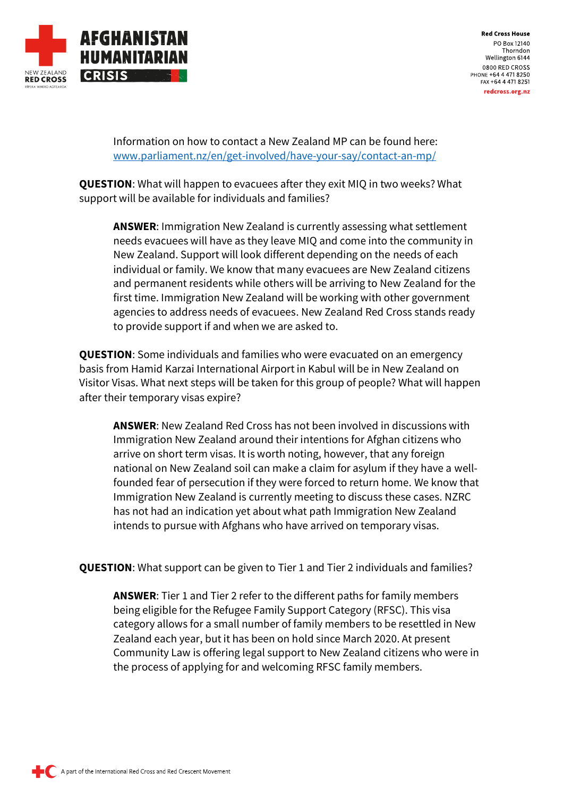

Information on how to contact a New Zealand MP can be found here: [www.parliament.nz/en/get-involved/have-your-say/contact-an-mp/](https://www.parliament.nz/en/get-involved/have-your-say/contact-an-mp/)

**QUESTION**: What will happen to evacuees after they exit MIQ in two weeks? What support will be available for individuals and families?

**ANSWER**: Immigration New Zealand is currently assessing what settlement needs evacuees will have as they leave MIQ and come into the community in New Zealand. Support will look different depending on the needs of each individual or family. We know that many evacuees are New Zealand citizens and permanent residents while others will be arriving to New Zealand for the first time. Immigration New Zealand will be working with other government agencies to address needs of evacuees. New Zealand Red Cross stands ready to provide support if and when we are asked to.

**QUESTION**: Some individuals and families who were evacuated on an emergency basis from Hamid Karzai International Airport in Kabul will be in New Zealand on Visitor Visas. What next steps will be taken for this group of people? What will happen after their temporary visas expire?

**ANSWER**: New Zealand Red Cross has not been involved in discussions with Immigration New Zealand around their intentions for Afghan citizens who arrive on short term visas. It is worth noting, however, that any foreign national on New Zealand soil can make a claim for asylum if they have a wellfounded fear of persecution if they were forced to return home. We know that Immigration New Zealand is currently meeting to discuss these cases. NZRC has not had an indication yet about what path Immigration New Zealand intends to pursue with Afghans who have arrived on temporary visas.

**QUESTION**: What support can be given to Tier 1 and Tier 2 individuals and families?

**ANSWER**: Tier 1 and Tier 2 refer to the different paths for family members being eligible for the Refugee Family Support Category (RFSC). This visa category allows for a small number of family members to be resettled in New Zealand each year, but it has been on hold since March 2020. At present Community Law is offering legal support to New Zealand citizens who were in the process of applying for and welcoming RFSC family members.

A part of the International Red Cross and Red Crescent Movement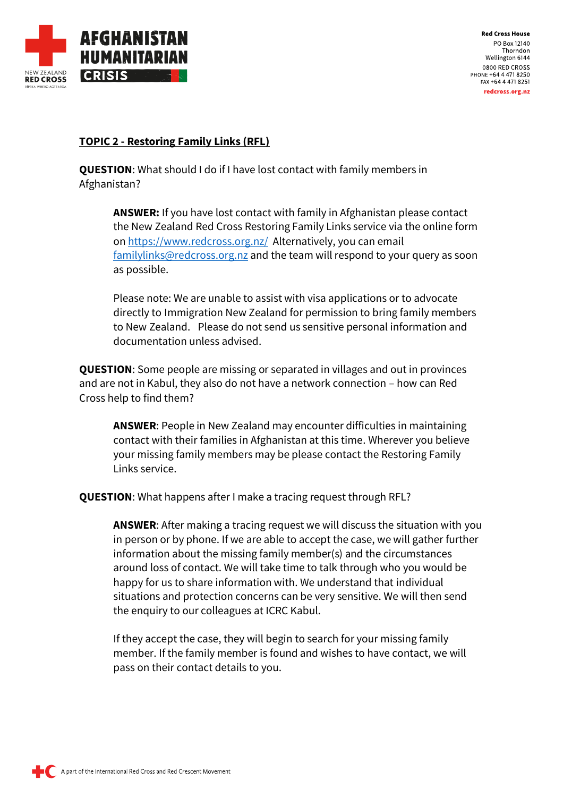

#### **TOPIC 2 - Restoring Family Links (RFL)**

**QUESTION**: What should I do if I have lost contact with family members in Afghanistan?

**ANSWER:** If you have lost contact with family in Afghanistan please contact the New Zealand Red Cross Restoring Family Links service via the online form on<https://www.redcross.org.nz/>Alternatively, you can email [familylinks@redcross.org.nz](mailto:familylinks@redcross.org.nz) and the team will respond to your query as soon as possible.

Please note: We are unable to assist with visa applications or to advocate directly to Immigration New Zealand for permission to bring family members to New Zealand. Please do not send us sensitive personal information and documentation unless advised.

**QUESTION**: Some people are missing or separated in villages and out in provinces and are not in Kabul, they also do not have a network connection – how can Red Cross help to find them?

**ANSWER**: People in New Zealand may encounter difficulties in maintaining contact with their families in Afghanistan at this time. Wherever you believe your missing family members may be please contact the Restoring Family Links service.

**QUESTION**: What happens after I make a tracing request through RFL?

**ANSWER**: After making a tracing request we will discuss the situation with you in person or by phone. If we are able to accept the case, we will gather further information about the missing family member(s) and the circumstances around loss of contact. We will take time to talk through who you would be happy for us to share information with. We understand that individual situations and protection concerns can be very sensitive. We will then send the enquiry to our colleagues at ICRC Kabul.

If they accept the case, they will begin to search for your missing family member. If the family member is found and wishes to have contact, we will pass on their contact details to you.